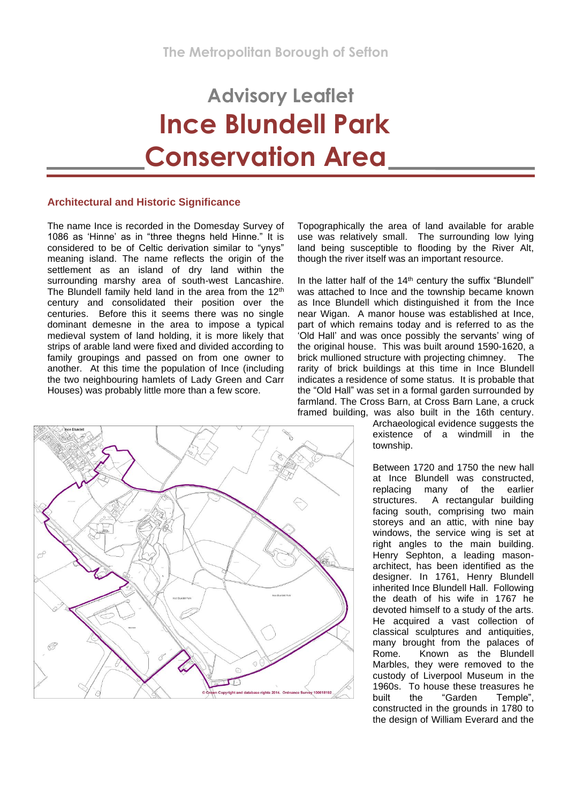# **Advisory Leaflet Ince Blundell Park Conservation Area**

# **Architectural and Historic Significance**

The name Ince is recorded in the Domesday Survey of 1086 as 'Hinne' as in "three thegns held Hinne." It is considered to be of Celtic derivation similar to "ynys" meaning island. The name reflects the origin of the settlement as an island of dry land within the surrounding marshy area of south-west Lancashire. The Blundell family held land in the area from the 12<sup>th</sup> century and consolidated their position over the centuries. Before this it seems there was no single dominant demesne in the area to impose a typical medieval system of land holding, it is more likely that strips of arable land were fixed and divided according to family groupings and passed on from one owner to another. At this time the population of Ince (including the two neighbouring hamlets of Lady Green and Carr Houses) was probably little more than a few score.



Topographically the area of land available for arable use was relatively small. The surrounding low lying land being susceptible to flooding by the River Alt, though the river itself was an important resource.

In the latter half of the  $14<sup>th</sup>$  century the suffix "Blundell" was attached to Ince and the township became known as Ince Blundell which distinguished it from the Ince near Wigan. A manor house was established at Ince, part of which remains today and is referred to as the 'Old Hall' and was once possibly the servants' wing of the original house. This was built around 1590-1620, a brick mullioned structure with projecting chimney. The rarity of brick buildings at this time in Ince Blundell indicates a residence of some status. It is probable that the "Old Hall" was set in a formal garden surrounded by farmland. The Cross Barn, at Cross Barn Lane, a cruck framed building, was also built in the 16th century.

Archaeological evidence suggests the existence of a windmill in the township.

Between 1720 and 1750 the new hall at Ince Blundell was constructed, replacing many of the earlier structures. A rectangular building facing south, comprising two main storeys and an attic, with nine bay windows, the service wing is set at right angles to the main building. Henry Sephton, a leading masonarchitect, has been identified as the designer. In 1761, Henry Blundell inherited Ince Blundell Hall. Following the death of his wife in 1767 he devoted himself to a study of the arts. He acquired a vast collection of classical sculptures and antiquities, many brought from the palaces of Rome. Known as the Blundell Marbles, they were removed to the custody of Liverpool Museum in the 1960s. To house these treasures he built the "Garden Temple", constructed in the grounds in 1780 to the design of William Everard and the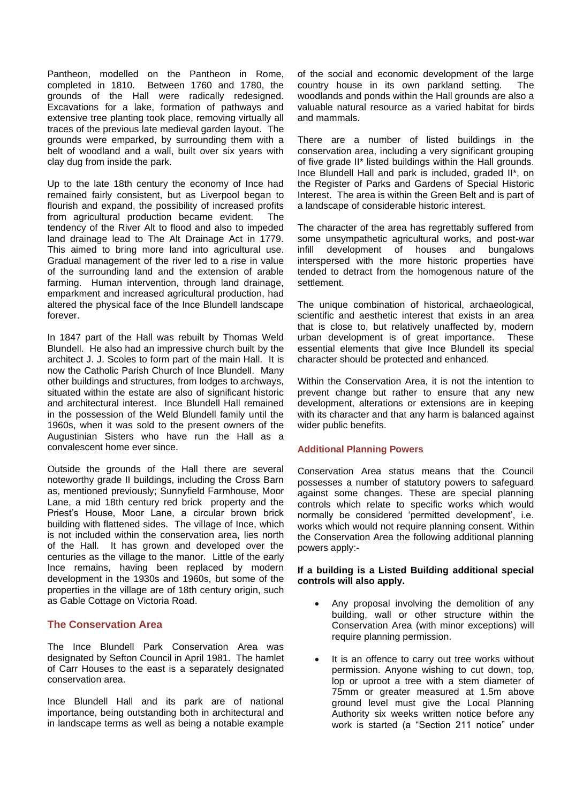Pantheon, modelled on the Pantheon in Rome, completed in 1810. Between 1760 and 1780, the grounds of the Hall were radically redesigned. Excavations for a lake, formation of pathways and extensive tree planting took place, removing virtually all traces of the previous late medieval garden layout. The grounds were emparked, by surrounding them with a belt of woodland and a wall, built over six years with clay dug from inside the park.

Up to the late 18th century the economy of Ince had remained fairly consistent, but as Liverpool began to flourish and expand, the possibility of increased profits from agricultural production became evident. The tendency of the River Alt to flood and also to impeded land drainage lead to The Alt Drainage Act in 1779. This aimed to bring more land into agricultural use. Gradual management of the river led to a rise in value of the surrounding land and the extension of arable farming. Human intervention, through land drainage, emparkment and increased agricultural production, had altered the physical face of the Ince Blundell landscape forever.

In 1847 part of the Hall was rebuilt by Thomas Weld Blundell. He also had an impressive church built by the architect J. J. Scoles to form part of the main Hall. It is now the Catholic Parish Church of Ince Blundell. Many other buildings and structures, from lodges to archways, situated within the estate are also of significant historic and architectural interest. Ince Blundell Hall remained in the possession of the Weld Blundell family until the 1960s, when it was sold to the present owners of the Augustinian Sisters who have run the Hall as a convalescent home ever since.

Outside the grounds of the Hall there are several noteworthy grade II buildings, including the Cross Barn as, mentioned previously; Sunnyfield Farmhouse, Moor Lane, a mid 18th century red brick property and the Priest's House, Moor Lane, a circular brown brick building with flattened sides. The village of Ince, which is not included within the conservation area, lies north of the Hall. It has grown and developed over the centuries as the village to the manor. Little of the early Ince remains, having been replaced by modern development in the 1930s and 1960s, but some of the properties in the village are of 18th century origin, such as Gable Cottage on Victoria Road.

# **The Conservation Area**

The Ince Blundell Park Conservation Area was designated by Sefton Council in April 1981. The hamlet of Carr Houses to the east is a separately designated conservation area.

Ince Blundell Hall and its park are of national importance, being outstanding both in architectural and in landscape terms as well as being a notable example of the social and economic development of the large country house in its own parkland setting. The woodlands and ponds within the Hall grounds are also a valuable natural resource as a varied habitat for birds and mammals.

There are a number of listed buildings in the conservation area, including a very significant grouping of five grade II\* listed buildings within the Hall grounds. Ince Blundell Hall and park is included, graded II\*, on the Register of Parks and Gardens of Special Historic Interest. The area is within the Green Belt and is part of a landscape of considerable historic interest.

The character of the area has regrettably suffered from some unsympathetic agricultural works, and post-war infill development of houses and bungalows interspersed with the more historic properties have tended to detract from the homogenous nature of the settlement.

The unique combination of historical, archaeological, scientific and aesthetic interest that exists in an area that is close to, but relatively unaffected by, modern urban development is of great importance. These essential elements that give Ince Blundell its special character should be protected and enhanced.

Within the Conservation Area, it is not the intention to prevent change but rather to ensure that any new development, alterations or extensions are in keeping with its character and that any harm is balanced against wider public benefits.

# **Additional Planning Powers**

Conservation Area status means that the Council possesses a number of statutory powers to safeguard against some changes. These are special planning controls which relate to specific works which would normally be considered 'permitted development', i.e. works which would not require planning consent. Within the Conservation Area the following additional planning powers apply:-

# **If a building is a Listed Building additional special controls will also apply.**

- Any proposal involving the demolition of any building, wall or other structure within the Conservation Area (with minor exceptions) will require planning permission.
- It is an offence to carry out tree works without permission. Anyone wishing to cut down, top, lop or uproot a tree with a stem diameter of 75mm or greater measured at 1.5m above ground level must give the Local Planning Authority six weeks written notice before any work is started (a "Section 211 notice" under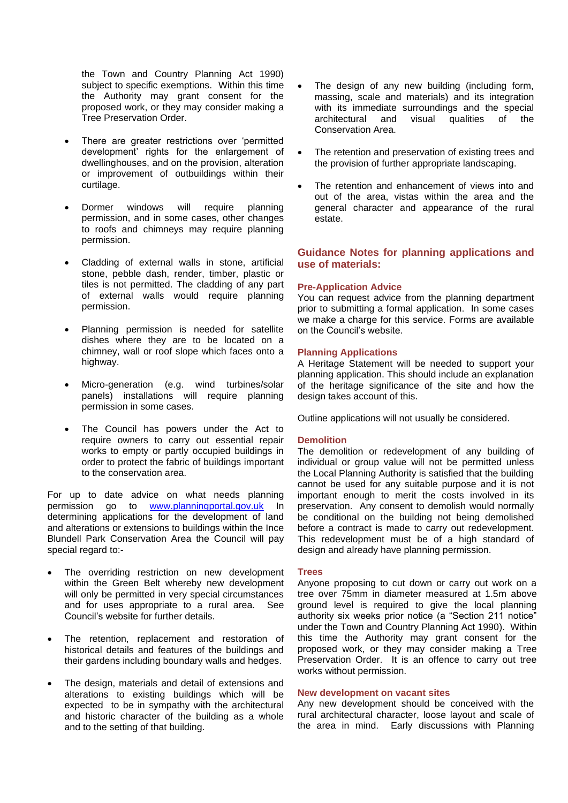the Town and Country Planning Act 1990) subject to specific exemptions. Within this time the Authority may grant consent for the proposed work, or they may consider making a Tree Preservation Order.

- There are greater restrictions over 'permitted development' rights for the enlargement of dwellinghouses, and on the provision, alteration or improvement of outbuildings within their curtilage.
- Dormer windows will require planning permission, and in some cases, other changes to roofs and chimneys may require planning permission.
- Cladding of external walls in stone, artificial stone, pebble dash, render, timber, plastic or tiles is not permitted. The cladding of any part of external walls would require planning permission.
- Planning permission is needed for satellite dishes where they are to be located on a chimney, wall or roof slope which faces onto a highway.
- Micro-generation (e.g. wind turbines/solar panels) installations will require planning permission in some cases.
- The Council has powers under the Act to require owners to carry out essential repair works to empty or partly occupied buildings in order to protect the fabric of buildings important to the conservation area.

For up to date advice on what needs planning permission go to [www.planningportal.gov.uk](http://www.planningportal.gov.uk/) In determining applications for the development of land and alterations or extensions to buildings within the Ince Blundell Park Conservation Area the Council will pay special regard to:-

- The overriding restriction on new development within the Green Belt whereby new development will only be permitted in very special circumstances and for uses appropriate to a rural area. See Council's website for further details.
- The retention, replacement and restoration of historical details and features of the buildings and their gardens including boundary walls and hedges.
- The design, materials and detail of extensions and alterations to existing buildings which will be expected to be in sympathy with the architectural and historic character of the building as a whole and to the setting of that building.
- The design of any new building (including form, massing, scale and materials) and its integration with its immediate surroundings and the special architectural and visual qualities of the Conservation Area.
- The retention and preservation of existing trees and the provision of further appropriate landscaping.
- The retention and enhancement of views into and out of the area, vistas within the area and the general character and appearance of the rural estate.

# **Guidance Notes for planning applications and use of materials:**

## **Pre-Application Advice**

You can request advice from the planning department prior to submitting a formal application. In some cases we make a charge for this service. Forms are available on the Council's website.

## **Planning Applications**

A Heritage Statement will be needed to support your planning application. This should include an explanation of the heritage significance of the site and how the design takes account of this.

Outline applications will not usually be considered.

## **Demolition**

The demolition or redevelopment of any building of individual or group value will not be permitted unless the Local Planning Authority is satisfied that the building cannot be used for any suitable purpose and it is not important enough to merit the costs involved in its preservation. Any consent to demolish would normally be conditional on the building not being demolished before a contract is made to carry out redevelopment. This redevelopment must be of a high standard of design and already have planning permission.

#### **Trees**

Anyone proposing to cut down or carry out work on a tree over 75mm in diameter measured at 1.5m above ground level is required to give the local planning authority six weeks prior notice (a "Section 211 notice" under the Town and Country Planning Act 1990). Within this time the Authority may grant consent for the proposed work, or they may consider making a Tree Preservation Order. It is an offence to carry out tree works without permission.

#### **New development on vacant sites**

Any new development should be conceived with the rural architectural character, loose layout and scale of the area in mind. Early discussions with Planning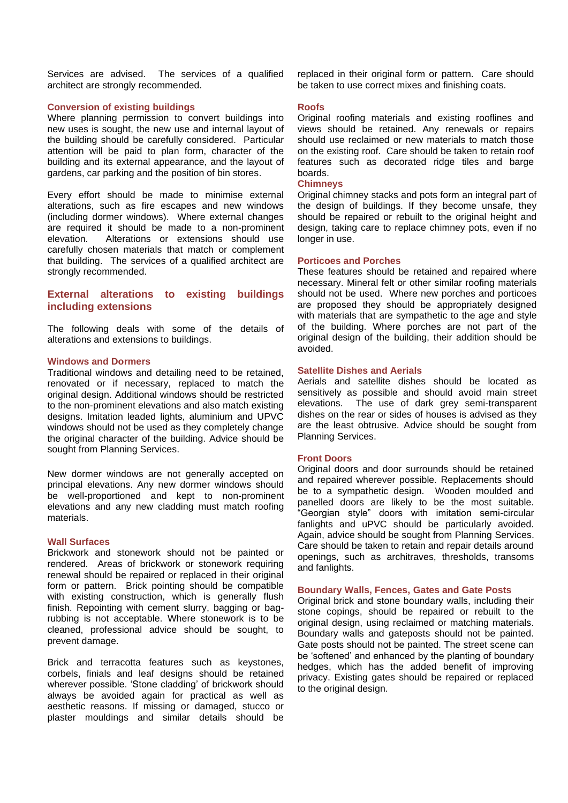Services are advised. The services of a qualified architect are strongly recommended.

## **Conversion of existing buildings**

Where planning permission to convert buildings into new uses is sought, the new use and internal layout of the building should be carefully considered. Particular attention will be paid to plan form, character of the building and its external appearance, and the layout of gardens, car parking and the position of bin stores.

Every effort should be made to minimise external alterations, such as fire escapes and new windows (including dormer windows). Where external changes are required it should be made to a non-prominent elevation. Alterations or extensions should use carefully chosen materials that match or complement that building. The services of a qualified architect are strongly recommended.

# **External alterations to existing buildings including extensions**

The following deals with some of the details of alterations and extensions to buildings.

## **Windows and Dormers**

Traditional windows and detailing need to be retained, renovated or if necessary, replaced to match the original design. Additional windows should be restricted to the non-prominent elevations and also match existing designs. Imitation leaded lights, aluminium and UPVC windows should not be used as they completely change the original character of the building. Advice should be sought from Planning Services.

New dormer windows are not generally accepted on principal elevations. Any new dormer windows should be well-proportioned and kept to non-prominent elevations and any new cladding must match roofing materials.

#### **Wall Surfaces**

Brickwork and stonework should not be painted or rendered. Areas of brickwork or stonework requiring renewal should be repaired or replaced in their original form or pattern. Brick pointing should be compatible with existing construction, which is generally flush finish. Repointing with cement slurry, bagging or bagrubbing is not acceptable. Where stonework is to be cleaned, professional advice should be sought, to prevent damage.

Brick and terracotta features such as keystones, corbels, finials and leaf designs should be retained wherever possible. 'Stone cladding' of brickwork should always be avoided again for practical as well as aesthetic reasons. If missing or damaged, stucco or plaster mouldings and similar details should be

replaced in their original form or pattern. Care should be taken to use correct mixes and finishing coats.

#### **Roofs**

Original roofing materials and existing rooflines and views should be retained. Any renewals or repairs should use reclaimed or new materials to match those on the existing roof. Care should be taken to retain roof features such as decorated ridge tiles and barge boards.

## **Chimneys**

Original chimney stacks and pots form an integral part of the design of buildings. If they become unsafe, they should be repaired or rebuilt to the original height and design, taking care to replace chimney pots, even if no longer in use.

## **Porticoes and Porches**

These features should be retained and repaired where necessary. Mineral felt or other similar roofing materials should not be used. Where new porches and porticoes are proposed they should be appropriately designed with materials that are sympathetic to the age and style of the building. Where porches are not part of the original design of the building, their addition should be avoided.

# **Satellite Dishes and Aerials**

Aerials and satellite dishes should be located as sensitively as possible and should avoid main street elevations. The use of dark grey semi-transparent dishes on the rear or sides of houses is advised as they are the least obtrusive. Advice should be sought from Planning Services.

## **Front Doors**

Original doors and door surrounds should be retained and repaired wherever possible. Replacements should be to a sympathetic design. Wooden moulded and panelled doors are likely to be the most suitable. "Georgian style" doors with imitation semi-circular fanlights and uPVC should be particularly avoided. Again, advice should be sought from Planning Services. Care should be taken to retain and repair details around openings, such as architraves, thresholds, transoms and fanlights.

#### **Boundary Walls, Fences, Gates and Gate Posts**

Original brick and stone boundary walls, including their stone copings, should be repaired or rebuilt to the original design, using reclaimed or matching materials. Boundary walls and gateposts should not be painted. Gate posts should not be painted. The street scene can be 'softened' and enhanced by the planting of boundary hedges, which has the added benefit of improving privacy. Existing gates should be repaired or replaced to the original design.